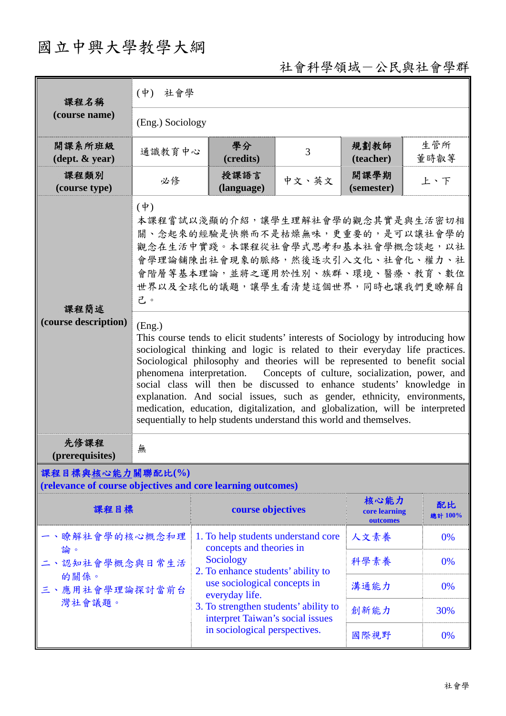## 國立中興大學教學大綱

## 社會科學領域-公民與社會學群

| 課程名稱                                                                            | 社會學<br>$(\phi)$                                                                                                                                                                                                                                                                                                                                                                                                                                                                                                                                                                                                                                                                                                                                                                                                                                                                                  |                                                                           |       |                                   |               |  |  |
|---------------------------------------------------------------------------------|--------------------------------------------------------------------------------------------------------------------------------------------------------------------------------------------------------------------------------------------------------------------------------------------------------------------------------------------------------------------------------------------------------------------------------------------------------------------------------------------------------------------------------------------------------------------------------------------------------------------------------------------------------------------------------------------------------------------------------------------------------------------------------------------------------------------------------------------------------------------------------------------------|---------------------------------------------------------------------------|-------|-----------------------------------|---------------|--|--|
| (course name)                                                                   | (Eng.) Sociology                                                                                                                                                                                                                                                                                                                                                                                                                                                                                                                                                                                                                                                                                                                                                                                                                                                                                 |                                                                           |       |                                   |               |  |  |
| 開課系所班級<br>$(\text{dept.} \& \text{ year})$                                      | 通識教育中心                                                                                                                                                                                                                                                                                                                                                                                                                                                                                                                                                                                                                                                                                                                                                                                                                                                                                           | 學分<br>(credits)                                                           | 3     | 規劃教師<br>(teacher)                 | 生管所<br>董時叡等   |  |  |
| 課程類別<br>(course type)                                                           | 必修                                                                                                                                                                                                                                                                                                                                                                                                                                                                                                                                                                                                                                                                                                                                                                                                                                                                                               | 授課語言<br>(language)                                                        | 中文、英文 | 開課學期<br>(semester)                | 上、下           |  |  |
| 課程簡述<br>(course description)                                                    | $(\dot{\Psi})$<br>本課程嘗試以淺顯的介紹,讓學生理解社會學的觀念其實是與生活密切相<br>關、念起來的經驗是快樂而不是枯燥無味,更重要的,是可以讓社會學的<br>觀念在生活中實踐。本課程從社會學式思考和基本社會學概念談起,以社<br>會學理論舖陳出社會現象的脈絡,然後逐次引入文化、社會化、權力、社<br>會階層等基本理論,並將之運用於性別、族群、環境、醫療、教育、數位<br>世界以及全球化的議題,讓學生看清楚這個世界,同時也讓我們更瞭解自<br>己。<br>(Eng.)<br>This course tends to elicit students' interests of Sociology by introducing how<br>sociological thinking and logic is related to their everyday life practices.<br>Sociological philosophy and theories will be represented to benefit social<br>phenomena interpretation. Concepts of culture, socialization, power, and<br>social class will then be discussed to enhance students' knowledge in<br>explanation. And social issues, such as gender, ethnicity, environments,<br>medication, education, digitalization, and globalization, will be interpreted<br>sequentially to help students understand this world and themselves. |                                                                           |       |                                   |               |  |  |
| 先修課程<br>(prerequisites)                                                         | 無                                                                                                                                                                                                                                                                                                                                                                                                                                                                                                                                                                                                                                                                                                                                                                                                                                                                                                |                                                                           |       |                                   |               |  |  |
| 課程目標與核心能力關聯配比(%)<br>(relevance of course objectives and core learning outcomes) |                                                                                                                                                                                                                                                                                                                                                                                                                                                                                                                                                                                                                                                                                                                                                                                                                                                                                                  |                                                                           |       |                                   |               |  |  |
| 課程目標                                                                            |                                                                                                                                                                                                                                                                                                                                                                                                                                                                                                                                                                                                                                                                                                                                                                                                                                                                                                  | course objectives                                                         |       | 核心能力<br>core learning<br>outcomes | 配比<br>總計 100% |  |  |
| 一、瞭解社會學的核心概念和理<br>論。<br>二、認知社會學概念與日常生活<br>的關係。<br>三、應用社會學理論探討當前台<br>灣社會議題。      |                                                                                                                                                                                                                                                                                                                                                                                                                                                                                                                                                                                                                                                                                                                                                                                                                                                                                                  | 1. To help students understand core<br>concepts and theories in           | 人文素養  | 0%                                |               |  |  |
|                                                                                 |                                                                                                                                                                                                                                                                                                                                                                                                                                                                                                                                                                                                                                                                                                                                                                                                                                                                                                  | Sociology<br>2. To enhance students' ability to                           |       | 科學素養                              | 0%            |  |  |
|                                                                                 |                                                                                                                                                                                                                                                                                                                                                                                                                                                                                                                                                                                                                                                                                                                                                                                                                                                                                                  | use sociological concepts in<br>everyday life.                            |       | 溝通能力                              | 0%            |  |  |
|                                                                                 |                                                                                                                                                                                                                                                                                                                                                                                                                                                                                                                                                                                                                                                                                                                                                                                                                                                                                                  | 3. To strengthen students' ability to<br>interpret Taiwan's social issues |       | 創新能力                              | 30%           |  |  |
|                                                                                 |                                                                                                                                                                                                                                                                                                                                                                                                                                                                                                                                                                                                                                                                                                                                                                                                                                                                                                  | in sociological perspectives.                                             | 國際視野  | 0%                                |               |  |  |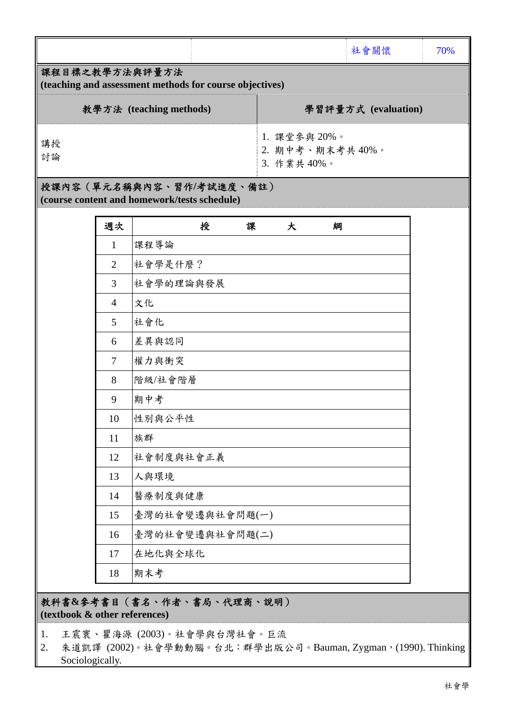|                                                                           |                                               | 社會關懷                | 70% |  |  |  |
|---------------------------------------------------------------------------|-----------------------------------------------|---------------------|-----|--|--|--|
| 課程目標之教學方法與評量方法<br>(teaching and assessment methods for course objectives) |                                               |                     |     |  |  |  |
| 教學方法 (teaching methods)                                                   |                                               | 學習評量方式 (evaluation) |     |  |  |  |
| 講授<br>討論                                                                  | 1. 課堂參與 20%。<br>2. 期中考、期末考共40%。<br>3. 作業共40%。 |                     |     |  |  |  |
| 授課內容 (單元名稱與內容、習作/考試進度、備註)                                                 |                                               |                     |     |  |  |  |

**(course content and homework/tests schedule)** 

| 週次             | 授<br>課<br>大<br>綱 |
|----------------|------------------|
| $\mathbf{1}$   | 課程導論             |
| $\overline{2}$ | 社會學是什麼?          |
| 3              | 社會學的理論與發展        |
| $\overline{4}$ | 文化               |
| 5              | 社會化              |
| 6              | 差異與認同            |
| $\overline{7}$ | 權力與衝突            |
| 8              | 階級/社會階層          |
| 9              | 期中考              |
| 10             | 性别與公平性           |
| 11             | 族群               |
| 12             | 社會制度與社會正義        |
| 13             | 人與環境             |
| 14             | 醫療制度與健康          |
| 15             | 臺灣的社會變遷與社會問題(一)  |
| 16             | 臺灣的社會變遷與社會問題(二)  |
| 17             | 在地化與全球化          |
| 18             | 期末考              |

教科書**&**參考書目(書名、作者、書局、代理商、說明) **(textbook & other references)**

1. 王震寰、瞿海源 (2003)。社會學與台灣社會。巨流

2. 朱道凱譯 (2002)。社會學動動腦。台北:群學出版公司。Bauman, Zygman, (1990). Thinking Sociologically.